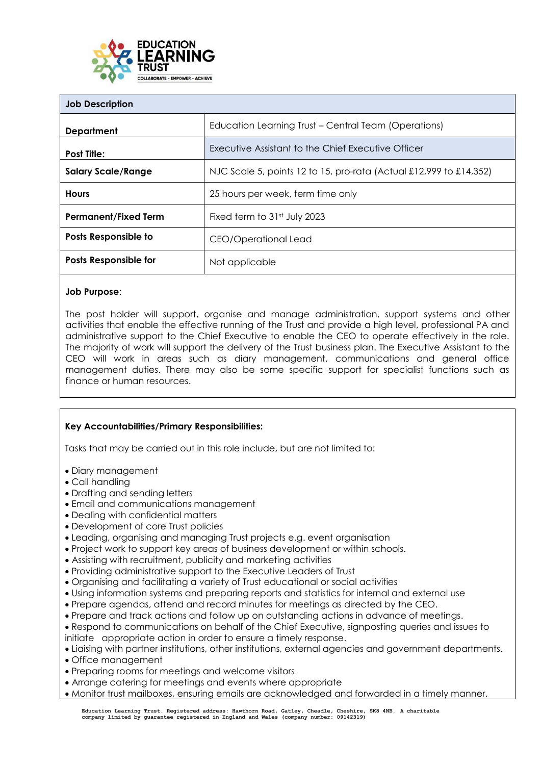

| <b>Job Description</b>      |                                                                    |
|-----------------------------|--------------------------------------------------------------------|
| <b>Department</b>           | Education Learning Trust – Central Team (Operations)               |
| <b>Post Title:</b>          | Executive Assistant to the Chief Executive Officer                 |
| <b>Salary Scale/Range</b>   | NJC Scale 5, points 12 to 15, pro-rata (Actual £12,999 to £14,352) |
| <b>Hours</b>                | 25 hours per week, term time only                                  |
| <b>Permanent/Fixed Term</b> | Fixed term to 31st July 2023                                       |
| Posts Responsible to        | CEO/Operational Lead                                               |
| Posts Responsible for       | Not applicable                                                     |

## **Job Purpose**:

The post holder will support, organise and manage administration, support systems and other activities that enable the effective running of the Trust and provide a high level, professional PA and administrative support to the Chief Executive to enable the CEO to operate effectively in the role. The majority of work will support the delivery of the Trust business plan. The Executive Assistant to the CEO will work in areas such as diary management, communications and general office management duties. There may also be some specific support for specialist functions such as finance or human resources.

# **Key Accountabilities/Primary Responsibilities:**

Tasks that may be carried out in this role include, but are not limited to:

- Diary management
- Call handling
- Drafting and sending letters
- Email and communications management
- Dealing with confidential matters
- Development of core Trust policies
- Leading, organising and managing Trust projects e.g. event organisation
- Project work to support key areas of business development or within schools.
- Assisting with recruitment, publicity and marketing activities
- Providing administrative support to the Executive Leaders of Trust
- Organising and facilitating a variety of Trust educational or social activities
- Using information systems and preparing reports and statistics for internal and external use
- Prepare agendas, attend and record minutes for meetings as directed by the CEO.
- Prepare and track actions and follow up on outstanding actions in advance of meetings.
- Respond to communications on behalf of the Chief Executive, signposting queries and issues to
- initiate appropriate action in order to ensure a timely response.
- Liaising with partner institutions, other institutions, external agencies and government departments.
- Office management
- Preparing rooms for meetings and welcome visitors
- Arrange catering for meetings and events where appropriate
- Monitor trust mailboxes, ensuring emails are acknowledged and forwarded in a timely manner.